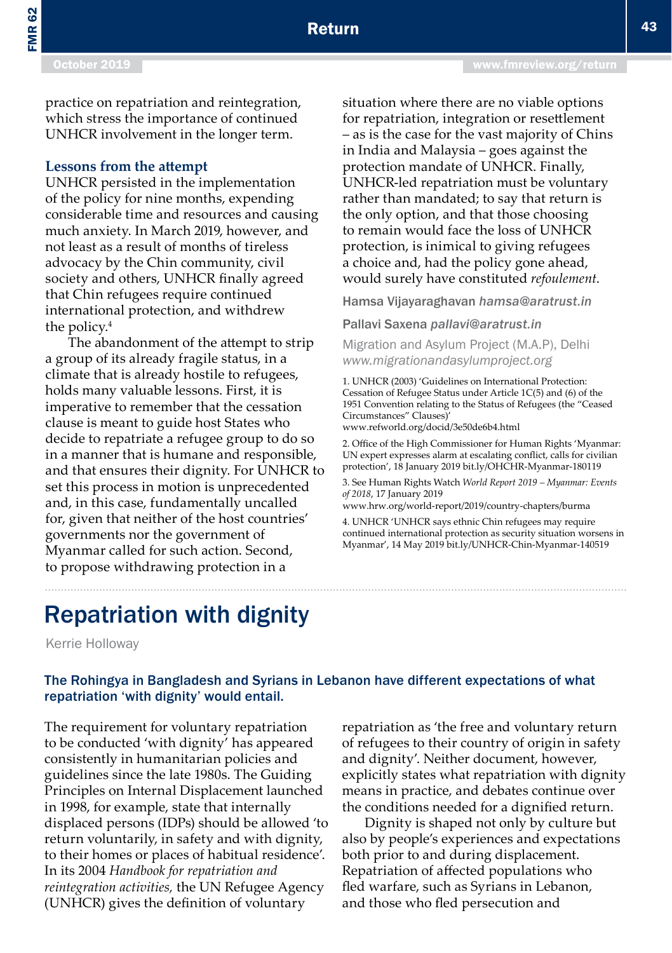# Repatriation with dignity

Kerrie Holloway

## The Rohingya in Bangladesh and Syrians in Lebanon have different expectations of what repatriation 'with dignity' would entail.

The requirement for voluntary repatriation to be conducted 'with dignity' has appeared consistently in humanitarian policies and guidelines since the late 1980s. The Guiding Principles on Internal Displacement launched in 1998, for example, state that internally displaced persons (IDPs) should be allowed 'to return voluntarily, in safety and with dignity, to their homes or places of habitual residence'. In its 2004 *Handbook for repatriation and reintegration activities,* the UN Refugee Agency (UNHCR) gives the definition of voluntary

repatriation as 'the free and voluntary return of refugees to their country of origin in safety and dignity'. Neither document, however, explicitly states what repatriation with dignity means in practice, and debates continue over the conditions needed for a dignified return.

Dignity is shaped not only by culture but also by people's experiences and expectations both prior to and during displacement. Repatriation of affected populations who fled warfare, such as Syrians in Lebanon, and those who fled persecution and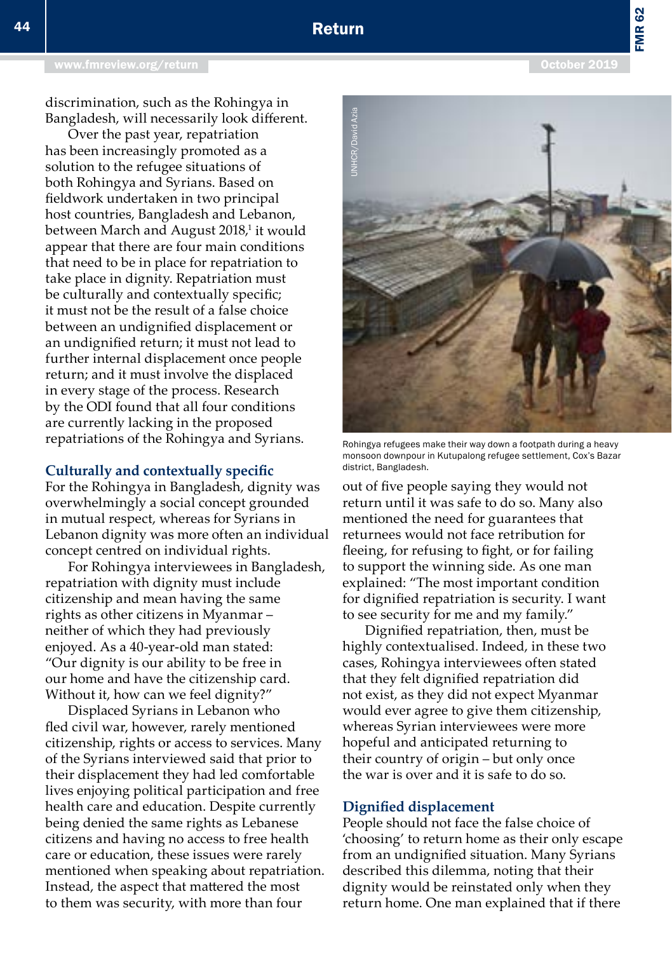# Return

discrimination, such as the Rohingya in Bangladesh, will necessarily look different.

Over the past year, repatriation has been increasingly promoted as a solution to the refugee situations of both Rohingya and Syrians. Based on fieldwork undertaken in two principal host countries, Bangladesh and Lebanon, between March and August 2018,<sup>1</sup> it would appear that there are four main conditions that need to be in place for repatriation to take place in dignity. Repatriation must be culturally and contextually specific; it must not be the result of a false choice between an undignified displacement or an undignified return; it must not lead to further internal displacement once people return; and it must involve the displaced in every stage of the process. Research by the ODI found that all four conditions are currently lacking in the proposed repatriations of the Rohingya and Syrians.

### **Culturally and contextually specific**

For the Rohingya in Bangladesh, dignity was overwhelmingly a social concept grounded in mutual respect, whereas for Syrians in Lebanon dignity was more often an individual concept centred on individual rights.

For Rohingya interviewees in Bangladesh, repatriation with dignity must include citizenship and mean having the same rights as other citizens in Myanmar – neither of which they had previously enjoyed. As a 40-year-old man stated: "Our dignity is our ability to be free in our home and have the citizenship card. Without it, how can we feel dignity?"

Displaced Syrians in Lebanon who fled civil war, however, rarely mentioned citizenship, rights or access to services. Many of the Syrians interviewed said that prior to their displacement they had led comfortable lives enjoying political participation and free health care and education. Despite currently being denied the same rights as Lebanese citizens and having no access to free health care or education, these issues were rarely mentioned when speaking about repatriation. Instead, the aspect that mattered the most to them was security, with more than four



Rohingya refugees make their way down a footpath during a heavy monsoon downpour in Kutupalong refugee settlement, Cox's Bazar<br>district, Bangladesh.

out of five people saying they would not return until it was safe to do so. Many also mentioned the need for guarantees that returnees would not face retribution for fleeing, for refusing to fight, or for failing to support the winning side. As one man explained: "The most important condition for dignified repatriation is security. I want to see security for me and my family."

Dignified repatriation, then, must be highly contextualised. Indeed, in these two cases, Rohingya interviewees often stated that they felt dignified repatriation did not exist, as they did not expect Myanmar would ever agree to give them citizenship, whereas Syrian interviewees were more hopeful and anticipated returning to their country of origin – but only once the war is over and it is safe to do so.

#### **Dignified displacement**

People should not face the false choice of 'choosing' to return home as their only escape from an undignified situation. Many Syrians described this dilemma, noting that their dignity would be reinstated only when they return home. One man explained that if there